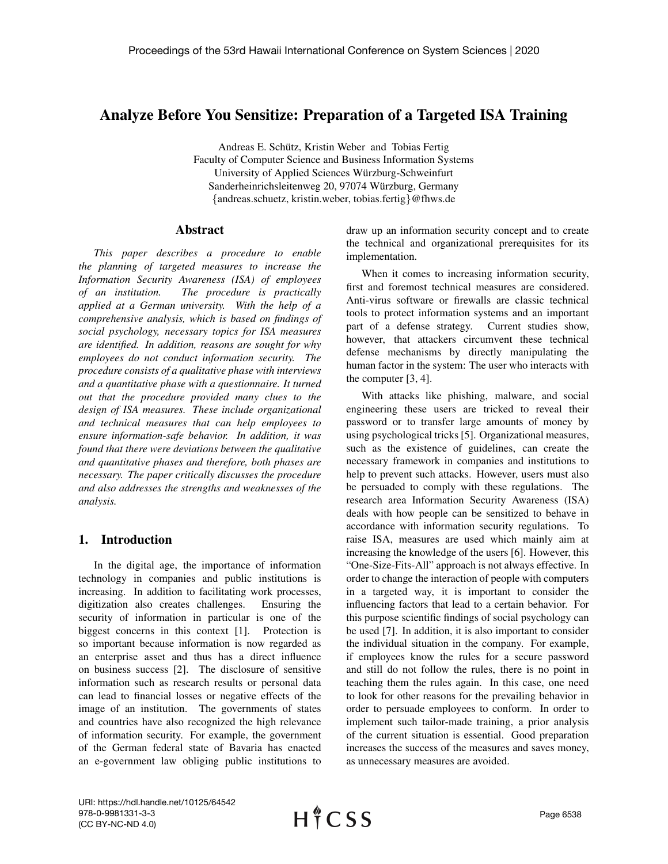# Analyze Before You Sensitize: Preparation of a Targeted ISA Training

Andreas E. Schutz, Kristin Weber and Tobias Fertig ¨ Faculty of Computer Science and Business Information Systems University of Applied Sciences Wurzburg-Schweinfurt ¨ Sanderheinrichsleitenweg 20, 97074 Würzburg, Germany {andreas.schuetz, kristin.weber, tobias.fertig}@fhws.de

### Abstract

*This paper describes a procedure to enable the planning of targeted measures to increase the Information Security Awareness (ISA) of employees of an institution. The procedure is practically applied at a German university. With the help of a comprehensive analysis, which is based on findings of social psychology, necessary topics for ISA measures are identified. In addition, reasons are sought for why employees do not conduct information security. The procedure consists of a qualitative phase with interviews and a quantitative phase with a questionnaire. It turned out that the procedure provided many clues to the design of ISA measures. These include organizational and technical measures that can help employees to ensure information-safe behavior. In addition, it was found that there were deviations between the qualitative and quantitative phases and therefore, both phases are necessary. The paper critically discusses the procedure and also addresses the strengths and weaknesses of the analysis.*

# 1. Introduction

In the digital age, the importance of information technology in companies and public institutions is increasing. In addition to facilitating work processes, digitization also creates challenges. Ensuring the security of information in particular is one of the biggest concerns in this context [1]. Protection is so important because information is now regarded as an enterprise asset and thus has a direct influence on business success [2]. The disclosure of sensitive information such as research results or personal data can lead to financial losses or negative effects of the image of an institution. The governments of states and countries have also recognized the high relevance of information security. For example, the government of the German federal state of Bavaria has enacted an e-government law obliging public institutions to

draw up an information security concept and to create the technical and organizational prerequisites for its implementation.

When it comes to increasing information security, first and foremost technical measures are considered. Anti-virus software or firewalls are classic technical tools to protect information systems and an important part of a defense strategy. Current studies show, however, that attackers circumvent these technical defense mechanisms by directly manipulating the human factor in the system: The user who interacts with the computer [3, 4].

With attacks like phishing, malware, and social engineering these users are tricked to reveal their password or to transfer large amounts of money by using psychological tricks [5]. Organizational measures, such as the existence of guidelines, can create the necessary framework in companies and institutions to help to prevent such attacks. However, users must also be persuaded to comply with these regulations. The research area Information Security Awareness (ISA) deals with how people can be sensitized to behave in accordance with information security regulations. To raise ISA, measures are used which mainly aim at increasing the knowledge of the users [6]. However, this "One-Size-Fits-All" approach is not always effective. In order to change the interaction of people with computers in a targeted way, it is important to consider the influencing factors that lead to a certain behavior. For this purpose scientific findings of social psychology can be used [7]. In addition, it is also important to consider the individual situation in the company. For example, if employees know the rules for a secure password and still do not follow the rules, there is no point in teaching them the rules again. In this case, one need to look for other reasons for the prevailing behavior in order to persuade employees to conform. In order to implement such tailor-made training, a prior analysis of the current situation is essential. Good preparation increases the success of the measures and saves money, as unnecessary measures are avoided.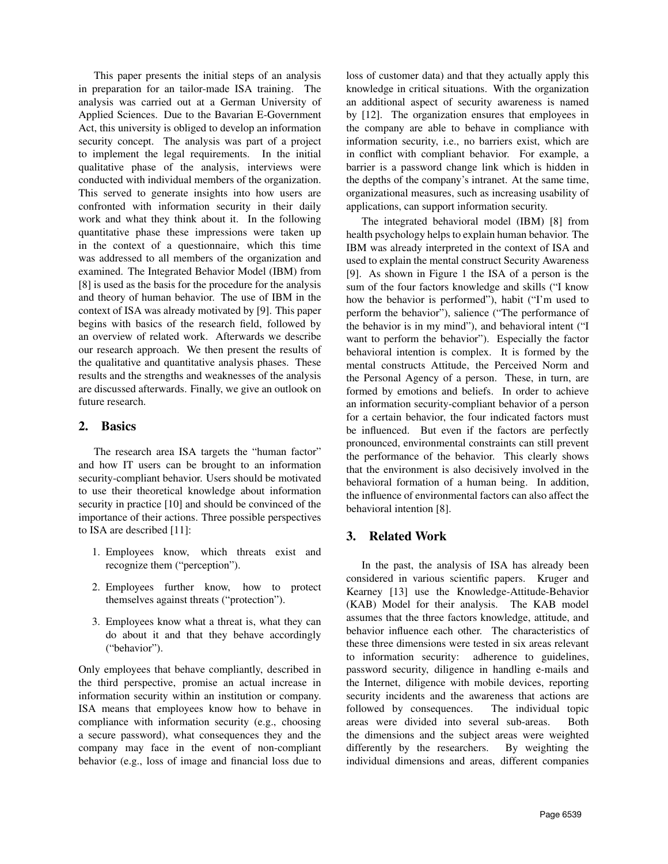This paper presents the initial steps of an analysis in preparation for an tailor-made ISA training. The analysis was carried out at a German University of Applied Sciences. Due to the Bavarian E-Government Act, this university is obliged to develop an information security concept. The analysis was part of a project to implement the legal requirements. In the initial qualitative phase of the analysis, interviews were conducted with individual members of the organization. This served to generate insights into how users are confronted with information security in their daily work and what they think about it. In the following quantitative phase these impressions were taken up in the context of a questionnaire, which this time was addressed to all members of the organization and examined. The Integrated Behavior Model (IBM) from [8] is used as the basis for the procedure for the analysis and theory of human behavior. The use of IBM in the context of ISA was already motivated by [9]. This paper begins with basics of the research field, followed by an overview of related work. Afterwards we describe our research approach. We then present the results of the qualitative and quantitative analysis phases. These results and the strengths and weaknesses of the analysis are discussed afterwards. Finally, we give an outlook on future research.

## 2. Basics

The research area ISA targets the "human factor" and how IT users can be brought to an information security-compliant behavior. Users should be motivated to use their theoretical knowledge about information security in practice [10] and should be convinced of the importance of their actions. Three possible perspectives to ISA are described [11]:

- 1. Employees know, which threats exist and recognize them ("perception").
- 2. Employees further know, how to protect themselves against threats ("protection").
- 3. Employees know what a threat is, what they can do about it and that they behave accordingly ("behavior").

Only employees that behave compliantly, described in the third perspective, promise an actual increase in information security within an institution or company. ISA means that employees know how to behave in compliance with information security (e.g., choosing a secure password), what consequences they and the company may face in the event of non-compliant behavior (e.g., loss of image and financial loss due to

loss of customer data) and that they actually apply this knowledge in critical situations. With the organization an additional aspect of security awareness is named by [12]. The organization ensures that employees in the company are able to behave in compliance with information security, i.e., no barriers exist, which are in conflict with compliant behavior. For example, a barrier is a password change link which is hidden in the depths of the company's intranet. At the same time, organizational measures, such as increasing usability of applications, can support information security.

The integrated behavioral model (IBM) [8] from health psychology helps to explain human behavior. The IBM was already interpreted in the context of ISA and used to explain the mental construct Security Awareness [9]. As shown in Figure 1 the ISA of a person is the sum of the four factors knowledge and skills ("I know how the behavior is performed"), habit ("I'm used to perform the behavior"), salience ("The performance of the behavior is in my mind"), and behavioral intent ("I want to perform the behavior"). Especially the factor behavioral intention is complex. It is formed by the mental constructs Attitude, the Perceived Norm and the Personal Agency of a person. These, in turn, are formed by emotions and beliefs. In order to achieve an information security-compliant behavior of a person for a certain behavior, the four indicated factors must be influenced. But even if the factors are perfectly pronounced, environmental constraints can still prevent the performance of the behavior. This clearly shows that the environment is also decisively involved in the behavioral formation of a human being. In addition, the influence of environmental factors can also affect the behavioral intention [8].

# 3. Related Work

In the past, the analysis of ISA has already been considered in various scientific papers. Kruger and Kearney [13] use the Knowledge-Attitude-Behavior (KAB) Model for their analysis. The KAB model assumes that the three factors knowledge, attitude, and behavior influence each other. The characteristics of these three dimensions were tested in six areas relevant to information security: adherence to guidelines, password security, diligence in handling e-mails and the Internet, diligence with mobile devices, reporting security incidents and the awareness that actions are followed by consequences. The individual topic areas were divided into several sub-areas. Both the dimensions and the subject areas were weighted differently by the researchers. By weighting the individual dimensions and areas, different companies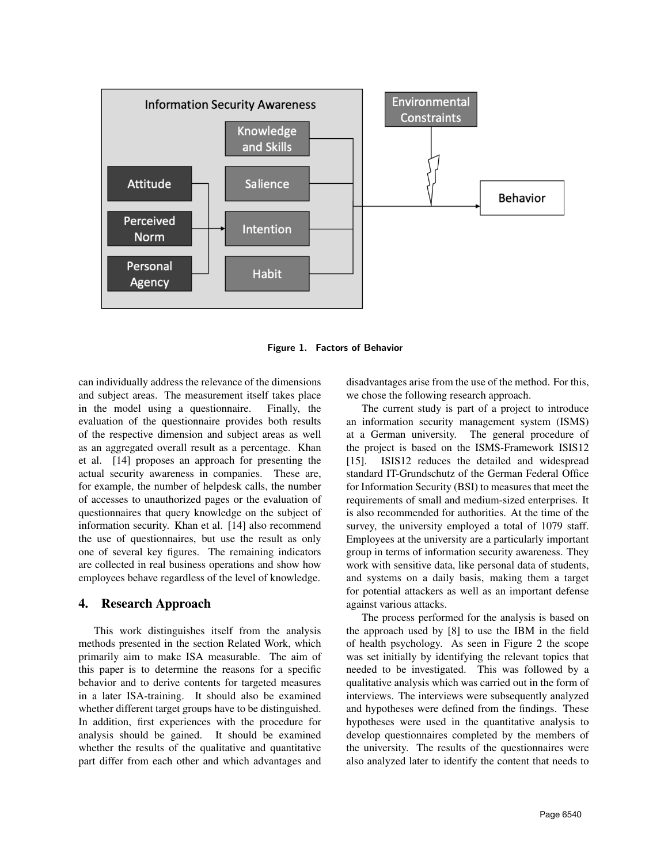

Figure 1. Factors of Behavior

can individually address the relevance of the dimensions and subject areas. The measurement itself takes place in the model using a questionnaire. Finally, the evaluation of the questionnaire provides both results of the respective dimension and subject areas as well as an aggregated overall result as a percentage. Khan et al. [14] proposes an approach for presenting the actual security awareness in companies. These are, for example, the number of helpdesk calls, the number of accesses to unauthorized pages or the evaluation of questionnaires that query knowledge on the subject of information security. Khan et al. [14] also recommend the use of questionnaires, but use the result as only one of several key figures. The remaining indicators are collected in real business operations and show how employees behave regardless of the level of knowledge.

#### 4. Research Approach

This work distinguishes itself from the analysis methods presented in the section Related Work, which primarily aim to make ISA measurable. The aim of this paper is to determine the reasons for a specific behavior and to derive contents for targeted measures in a later ISA-training. It should also be examined whether different target groups have to be distinguished. In addition, first experiences with the procedure for analysis should be gained. It should be examined whether the results of the qualitative and quantitative part differ from each other and which advantages and

disadvantages arise from the use of the method. For this, we chose the following research approach.

The current study is part of a project to introduce an information security management system (ISMS) at a German university. The general procedure of the project is based on the ISMS-Framework ISIS12 [15]. ISIS12 reduces the detailed and widespread standard IT-Grundschutz of the German Federal Office for Information Security (BSI) to measures that meet the requirements of small and medium-sized enterprises. It is also recommended for authorities. At the time of the survey, the university employed a total of 1079 staff. Employees at the university are a particularly important group in terms of information security awareness. They work with sensitive data, like personal data of students, and systems on a daily basis, making them a target for potential attackers as well as an important defense against various attacks.

The process performed for the analysis is based on the approach used by [8] to use the IBM in the field of health psychology. As seen in Figure 2 the scope was set initially by identifying the relevant topics that needed to be investigated. This was followed by a qualitative analysis which was carried out in the form of interviews. The interviews were subsequently analyzed and hypotheses were defined from the findings. These hypotheses were used in the quantitative analysis to develop questionnaires completed by the members of the university. The results of the questionnaires were also analyzed later to identify the content that needs to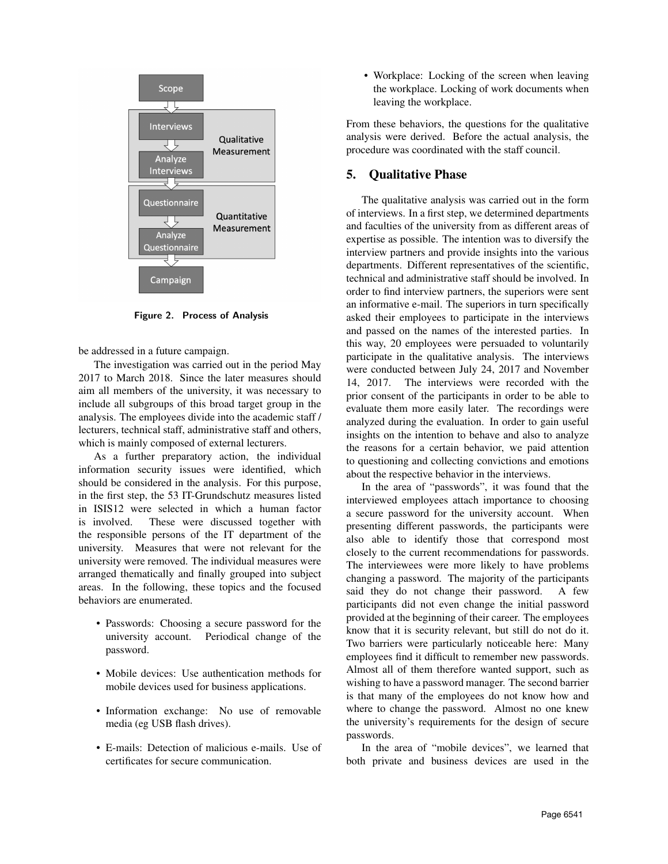

Figure 2. Process of Analysis

be addressed in a future campaign.

The investigation was carried out in the period May 2017 to March 2018. Since the later measures should aim all members of the university, it was necessary to include all subgroups of this broad target group in the analysis. The employees divide into the academic staff / lecturers, technical staff, administrative staff and others, which is mainly composed of external lecturers.

As a further preparatory action, the individual information security issues were identified, which should be considered in the analysis. For this purpose, in the first step, the 53 IT-Grundschutz measures listed in ISIS12 were selected in which a human factor is involved. These were discussed together with the responsible persons of the IT department of the university. Measures that were not relevant for the university were removed. The individual measures were arranged thematically and finally grouped into subject areas. In the following, these topics and the focused behaviors are enumerated.

- Passwords: Choosing a secure password for the university account. Periodical change of the password.
- Mobile devices: Use authentication methods for mobile devices used for business applications.
- Information exchange: No use of removable media (eg USB flash drives).
- E-mails: Detection of malicious e-mails. Use of certificates for secure communication.

• Workplace: Locking of the screen when leaving the workplace. Locking of work documents when leaving the workplace.

From these behaviors, the questions for the qualitative analysis were derived. Before the actual analysis, the procedure was coordinated with the staff council.

### 5. Qualitative Phase

The qualitative analysis was carried out in the form of interviews. In a first step, we determined departments and faculties of the university from as different areas of expertise as possible. The intention was to diversify the interview partners and provide insights into the various departments. Different representatives of the scientific, technical and administrative staff should be involved. In order to find interview partners, the superiors were sent an informative e-mail. The superiors in turn specifically asked their employees to participate in the interviews and passed on the names of the interested parties. In this way, 20 employees were persuaded to voluntarily participate in the qualitative analysis. The interviews were conducted between July 24, 2017 and November 14, 2017. The interviews were recorded with the prior consent of the participants in order to be able to evaluate them more easily later. The recordings were analyzed during the evaluation. In order to gain useful insights on the intention to behave and also to analyze the reasons for a certain behavior, we paid attention to questioning and collecting convictions and emotions about the respective behavior in the interviews.

In the area of "passwords", it was found that the interviewed employees attach importance to choosing a secure password for the university account. When presenting different passwords, the participants were also able to identify those that correspond most closely to the current recommendations for passwords. The interviewees were more likely to have problems changing a password. The majority of the participants said they do not change their password. A few participants did not even change the initial password provided at the beginning of their career. The employees know that it is security relevant, but still do not do it. Two barriers were particularly noticeable here: Many employees find it difficult to remember new passwords. Almost all of them therefore wanted support, such as wishing to have a password manager. The second barrier is that many of the employees do not know how and where to change the password. Almost no one knew the university's requirements for the design of secure passwords.

In the area of "mobile devices", we learned that both private and business devices are used in the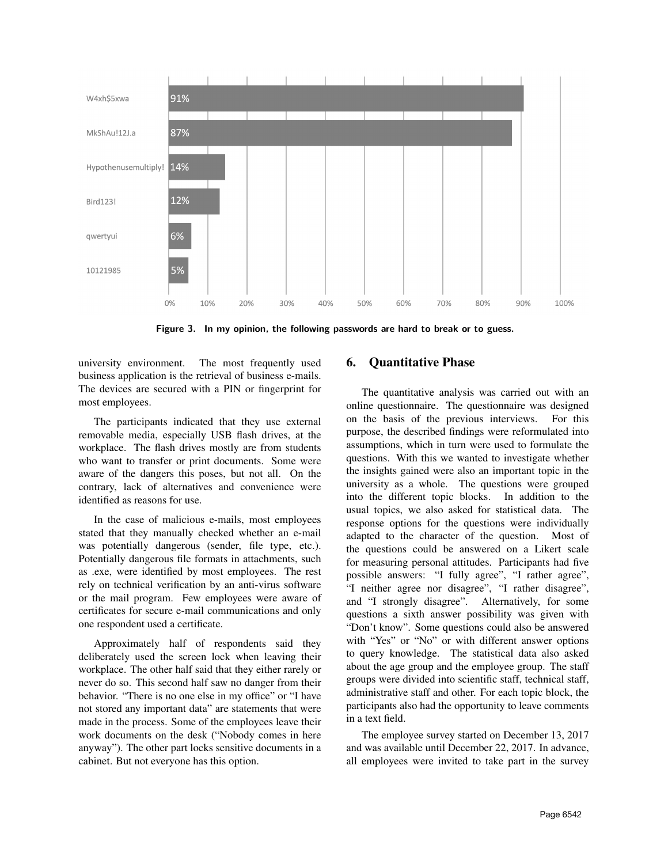

Figure 3. In my opinion, the following passwords are hard to break or to guess.

university environment. The most frequently used business application is the retrieval of business e-mails. The devices are secured with a PIN or fingerprint for most employees.

The participants indicated that they use external removable media, especially USB flash drives, at the workplace. The flash drives mostly are from students who want to transfer or print documents. Some were aware of the dangers this poses, but not all. On the contrary, lack of alternatives and convenience were identified as reasons for use.

In the case of malicious e-mails, most employees stated that they manually checked whether an e-mail was potentially dangerous (sender, file type, etc.). Potentially dangerous file formats in attachments, such as .exe, were identified by most employees. The rest rely on technical verification by an anti-virus software or the mail program. Few employees were aware of certificates for secure e-mail communications and only one respondent used a certificate.

Approximately half of respondents said they deliberately used the screen lock when leaving their workplace. The other half said that they either rarely or never do so. This second half saw no danger from their behavior. "There is no one else in my office" or "I have not stored any important data" are statements that were made in the process. Some of the employees leave their work documents on the desk ("Nobody comes in here anyway"). The other part locks sensitive documents in a cabinet. But not everyone has this option.

# 6. Quantitative Phase

The quantitative analysis was carried out with an online questionnaire. The questionnaire was designed on the basis of the previous interviews. For this purpose, the described findings were reformulated into assumptions, which in turn were used to formulate the questions. With this we wanted to investigate whether the insights gained were also an important topic in the university as a whole. The questions were grouped into the different topic blocks. In addition to the usual topics, we also asked for statistical data. The response options for the questions were individually adapted to the character of the question. Most of the questions could be answered on a Likert scale for measuring personal attitudes. Participants had five possible answers: "I fully agree", "I rather agree", "I neither agree nor disagree", "I rather disagree", and "I strongly disagree". Alternatively, for some questions a sixth answer possibility was given with "Don't know". Some questions could also be answered with "Yes" or "No" or with different answer options to query knowledge. The statistical data also asked about the age group and the employee group. The staff groups were divided into scientific staff, technical staff, administrative staff and other. For each topic block, the participants also had the opportunity to leave comments in a text field.

The employee survey started on December 13, 2017 and was available until December 22, 2017. In advance, all employees were invited to take part in the survey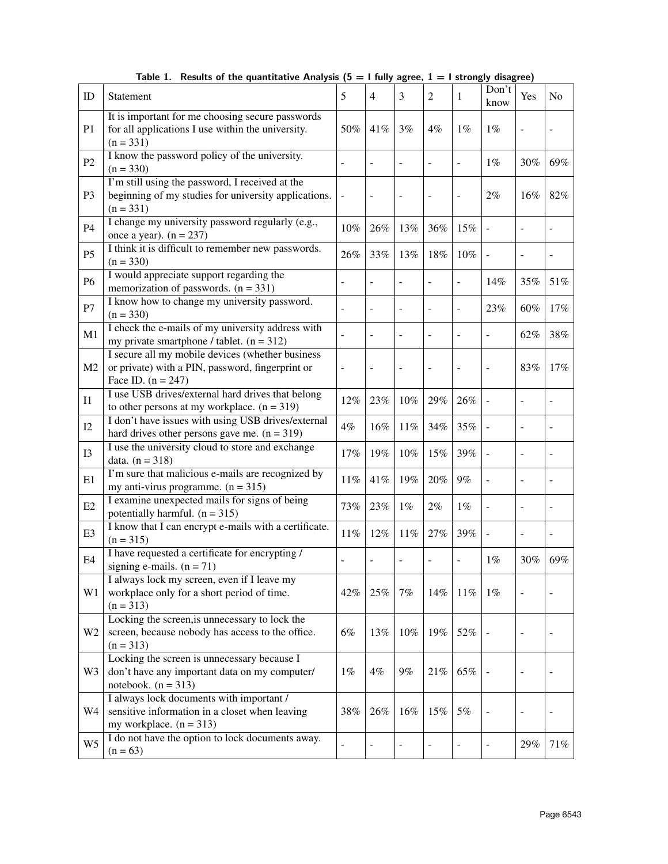| ID             | Statement                                                                                                                    | 5              | $\overline{4}$           | 3              | 2      | 1      | Don't<br>know            | Yes                      | N <sub>0</sub> |
|----------------|------------------------------------------------------------------------------------------------------------------------------|----------------|--------------------------|----------------|--------|--------|--------------------------|--------------------------|----------------|
| P <sub>1</sub> | It is important for me choosing secure passwords<br>for all applications I use within the university.<br>$(n = 331)$         | 50%            | 41%                      | 3%             | $4\%$  | $1\%$  | $1\%$                    |                          |                |
| P2             | I know the password policy of the university.<br>$(n = 330)$                                                                 |                |                          |                |        | ÷,     | $1\%$                    | 30%                      | 69%            |
| P <sub>3</sub> | I'm still using the password, I received at the<br>beginning of my studies for university applications.<br>$(n = 331)$       |                | $\overline{a}$           | -              |        | -      | 2%                       | 16%                      | 82%            |
| P4             | I change my university password regularly (e.g.,<br>once a year). $(n = 237)$                                                | 10%            | 26%                      | 13%            | 36%    | 15%    |                          |                          |                |
| P <sub>5</sub> | I think it is difficult to remember new passwords.<br>$(n = 330)$                                                            | 26%            | 33%                      | 13%            | 18%    | $10\%$ | $\overline{\phantom{a}}$ | $\overline{a}$           |                |
| <b>P6</b>      | I would appreciate support regarding the<br>memorization of passwords. $(n = 331)$                                           | ÷              | $\overline{\phantom{a}}$ | ÷              |        | ÷,     | 14%                      | 35%                      | 51%            |
| ${\bf P}7$     | I know how to change my university password.<br>$(n = 330)$                                                                  | ÷,             | $\blacksquare$           | $\overline{a}$ |        | ÷,     | 23%                      | 60%                      | 17%            |
| M1             | I check the e-mails of my university address with<br>my private smartphone / tablet. $(n = 312)$                             |                | $\blacksquare$           | $\overline{a}$ |        | L,     | $\overline{a}$           | 62%                      | 38%            |
| M <sub>2</sub> | I secure all my mobile devices (whether business<br>or private) with a PIN, password, fingerprint or<br>Face ID. $(n = 247)$ | $\blacksquare$ |                          | ÷              |        |        | ÷,                       | 83%                      | 17%            |
| I <sub>1</sub> | I use USB drives/external hard drives that belong<br>to other persons at my workplace. $(n = 319)$                           | 12%            | 23%                      | 10%            | 29%    | 26%    | $\overline{a}$           | $\overline{\phantom{a}}$ |                |
| I2             | I don't have issues with using USB drives/external<br>hard drives other persons gave me. $(n = 319)$                         | $4\%$          | 16%                      | 11%            | 34%    | 35%    | $\overline{\phantom{a}}$ | $\overline{\phantom{a}}$ |                |
| I3             | I use the university cloud to store and exchange<br>data. $(n = 318)$                                                        | 17%            | 19%                      | $10\%$         | 15%    | 39%    | $\overline{a}$           | $\overline{a}$           |                |
| E1             | I'm sure that malicious e-mails are recognized by<br>my anti-virus programme. $(n = 315)$                                    | $11\%$         | 41%                      | 19%            | 20%    | 9%     | $\overline{\phantom{a}}$ | $\overline{\phantom{a}}$ |                |
| E2             | I examine unexpected mails for signs of being<br>potentially harmful. $(n = 315)$                                            | 73%            | 23%                      | $1\%$          | 2%     | $1\%$  | $\overline{\phantom{a}}$ | $\overline{a}$           |                |
| E <sub>3</sub> | I know that I can encrypt e-mails with a certificate.<br>$(n = 315)$                                                         | 11%            | 12%                      | 11%            | 27%    | 39%    | $\overline{a}$           | $\overline{\phantom{a}}$ |                |
| E4             | I have requested a certificate for encrypting /<br>signing e-mails. $(n = 71)$                                               |                | $\overline{a}$           |                |        |        | $1\%$                    | 30%                      | 69%            |
| W <sub>1</sub> | I always lock my screen, even if I leave my<br>workplace only for a short period of time.<br>$(n = 313)$                     | 42%            | 25%                      | 7%             | 14%    | 11%    | $1\%$                    | $\overline{\phantom{a}}$ |                |
| W <sub>2</sub> | Locking the screen, is unnecessary to lock the<br>screen, because nobody has access to the office.<br>$(n = 313)$            | 6%             | 13%                      | $10\%$         | 19%    | 52%    |                          |                          |                |
| W <sub>3</sub> | Locking the screen is unnecessary because I<br>don't have any important data on my computer/<br>notebook. $(n = 313)$        | $1\%$          | 4%                       | 9%             | $21\%$ | 65%    |                          | ÷,                       |                |
| W4             | I always lock documents with important /<br>sensitive information in a closet when leaving<br>my workplace. $(n = 313)$      | $38\%$         | 26%                      | $16\%$         | 15%    | 5%     |                          | $\overline{a}$           |                |
| W <sub>5</sub> | I do not have the option to lock documents away.<br>$(n = 63)$                                                               |                | ÷                        |                |        |        |                          | 29%                      | 71%            |

Table 1. Results of the quantitative Analysis  $(5 = 1$  fully agree,  $1 = 1$  strongly disagree)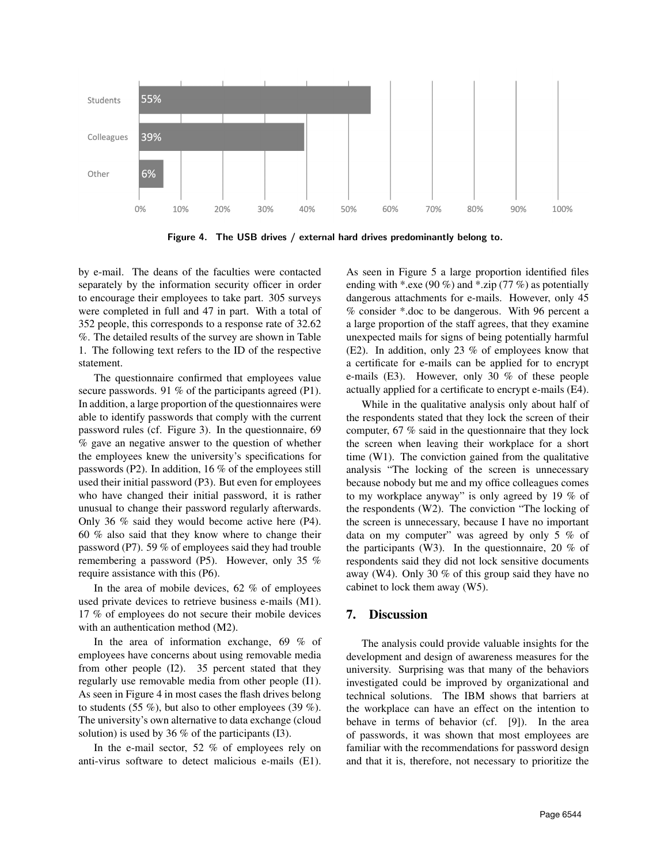

Figure 4. The USB drives / external hard drives predominantly belong to.

by e-mail. The deans of the faculties were contacted separately by the information security officer in order to encourage their employees to take part. 305 surveys were completed in full and 47 in part. With a total of 352 people, this corresponds to a response rate of 32.62 %. The detailed results of the survey are shown in Table 1. The following text refers to the ID of the respective statement.

The questionnaire confirmed that employees value secure passwords. 91 % of the participants agreed (P1). In addition, a large proportion of the questionnaires were able to identify passwords that comply with the current password rules (cf. Figure 3). In the questionnaire, 69 % gave an negative answer to the question of whether the employees knew the university's specifications for passwords (P2). In addition, 16 % of the employees still used their initial password (P3). But even for employees who have changed their initial password, it is rather unusual to change their password regularly afterwards. Only 36 % said they would become active here (P4). 60 % also said that they know where to change their password (P7). 59 % of employees said they had trouble remembering a password (P5). However, only 35 % require assistance with this (P6).

In the area of mobile devices, 62 % of employees used private devices to retrieve business e-mails (M1). 17 % of employees do not secure their mobile devices with an authentication method  $(M2)$ .

In the area of information exchange, 69 % of employees have concerns about using removable media from other people (I2). 35 percent stated that they regularly use removable media from other people (I1). As seen in Figure 4 in most cases the flash drives belong to students (55 %), but also to other employees (39 %). The university's own alternative to data exchange (cloud solution) is used by 36 % of the participants (I3).

In the e-mail sector, 52 % of employees rely on anti-virus software to detect malicious e-mails (E1).

As seen in Figure 5 a large proportion identified files ending with \*.exe (90 %) and \*.zip (77 %) as potentially dangerous attachments for e-mails. However, only 45 % consider \*.doc to be dangerous. With 96 percent a a large proportion of the staff agrees, that they examine unexpected mails for signs of being potentially harmful (E2). In addition, only 23 % of employees know that a certificate for e-mails can be applied for to encrypt e-mails (E3). However, only 30 % of these people actually applied for a certificate to encrypt e-mails (E4).

While in the qualitative analysis only about half of the respondents stated that they lock the screen of their computer, 67 % said in the questionnaire that they lock the screen when leaving their workplace for a short time (W1). The conviction gained from the qualitative analysis "The locking of the screen is unnecessary because nobody but me and my office colleagues comes to my workplace anyway" is only agreed by 19 % of the respondents (W2). The conviction "The locking of the screen is unnecessary, because I have no important data on my computer" was agreed by only 5 % of the participants (W3). In the questionnaire, 20 % of respondents said they did not lock sensitive documents away (W4). Only 30 % of this group said they have no cabinet to lock them away (W5).

#### 7. Discussion

The analysis could provide valuable insights for the development and design of awareness measures for the university. Surprising was that many of the behaviors investigated could be improved by organizational and technical solutions. The IBM shows that barriers at the workplace can have an effect on the intention to behave in terms of behavior (cf. [9]). In the area of passwords, it was shown that most employees are familiar with the recommendations for password design and that it is, therefore, not necessary to prioritize the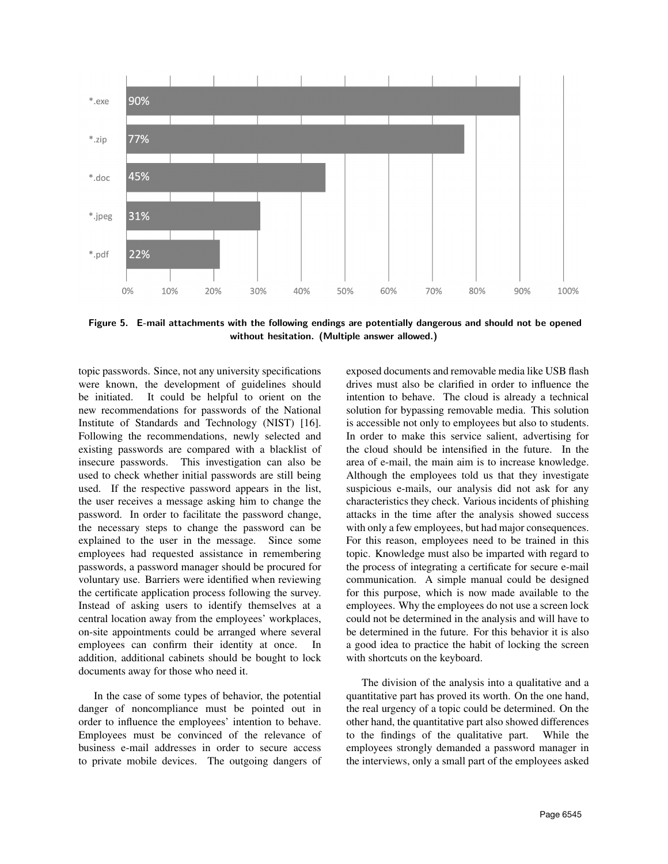

Figure 5. E-mail attachments with the following endings are potentially dangerous and should not be opened without hesitation. (Multiple answer allowed.)

topic passwords. Since, not any university specifications were known, the development of guidelines should be initiated. It could be helpful to orient on the new recommendations for passwords of the National Institute of Standards and Technology (NIST) [16]. Following the recommendations, newly selected and existing passwords are compared with a blacklist of insecure passwords. This investigation can also be used to check whether initial passwords are still being used. If the respective password appears in the list, the user receives a message asking him to change the password. In order to facilitate the password change, the necessary steps to change the password can be explained to the user in the message. Since some employees had requested assistance in remembering passwords, a password manager should be procured for voluntary use. Barriers were identified when reviewing the certificate application process following the survey. Instead of asking users to identify themselves at a central location away from the employees' workplaces, on-site appointments could be arranged where several employees can confirm their identity at once. In addition, additional cabinets should be bought to lock documents away for those who need it.

In the case of some types of behavior, the potential danger of noncompliance must be pointed out in order to influence the employees' intention to behave. Employees must be convinced of the relevance of business e-mail addresses in order to secure access to private mobile devices. The outgoing dangers of exposed documents and removable media like USB flash drives must also be clarified in order to influence the intention to behave. The cloud is already a technical solution for bypassing removable media. This solution is accessible not only to employees but also to students. In order to make this service salient, advertising for the cloud should be intensified in the future. In the area of e-mail, the main aim is to increase knowledge. Although the employees told us that they investigate suspicious e-mails, our analysis did not ask for any characteristics they check. Various incidents of phishing attacks in the time after the analysis showed success with only a few employees, but had major consequences. For this reason, employees need to be trained in this topic. Knowledge must also be imparted with regard to the process of integrating a certificate for secure e-mail communication. A simple manual could be designed for this purpose, which is now made available to the employees. Why the employees do not use a screen lock could not be determined in the analysis and will have to be determined in the future. For this behavior it is also a good idea to practice the habit of locking the screen with shortcuts on the keyboard.

The division of the analysis into a qualitative and a quantitative part has proved its worth. On the one hand, the real urgency of a topic could be determined. On the other hand, the quantitative part also showed differences to the findings of the qualitative part. While the employees strongly demanded a password manager in the interviews, only a small part of the employees asked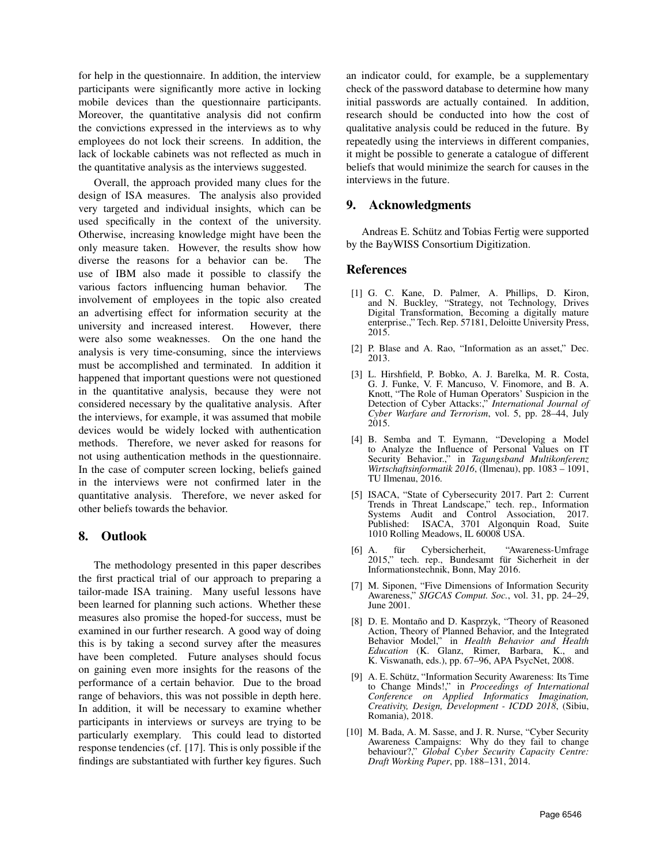for help in the questionnaire. In addition, the interview participants were significantly more active in locking mobile devices than the questionnaire participants. Moreover, the quantitative analysis did not confirm the convictions expressed in the interviews as to why employees do not lock their screens. In addition, the lack of lockable cabinets was not reflected as much in the quantitative analysis as the interviews suggested.

Overall, the approach provided many clues for the design of ISA measures. The analysis also provided very targeted and individual insights, which can be used specifically in the context of the university. Otherwise, increasing knowledge might have been the only measure taken. However, the results show how diverse the reasons for a behavior can be. The use of IBM also made it possible to classify the various factors influencing human behavior. The involvement of employees in the topic also created an advertising effect for information security at the university and increased interest. However, there were also some weaknesses. On the one hand the analysis is very time-consuming, since the interviews must be accomplished and terminated. In addition it happened that important questions were not questioned in the quantitative analysis, because they were not considered necessary by the qualitative analysis. After the interviews, for example, it was assumed that mobile devices would be widely locked with authentication methods. Therefore, we never asked for reasons for not using authentication methods in the questionnaire. In the case of computer screen locking, beliefs gained in the interviews were not confirmed later in the quantitative analysis. Therefore, we never asked for other beliefs towards the behavior.

#### 8. Outlook

The methodology presented in this paper describes the first practical trial of our approach to preparing a tailor-made ISA training. Many useful lessons have been learned for planning such actions. Whether these measures also promise the hoped-for success, must be examined in our further research. A good way of doing this is by taking a second survey after the measures have been completed. Future analyses should focus on gaining even more insights for the reasons of the performance of a certain behavior. Due to the broad range of behaviors, this was not possible in depth here. In addition, it will be necessary to examine whether participants in interviews or surveys are trying to be particularly exemplary. This could lead to distorted response tendencies (cf. [17]. This is only possible if the findings are substantiated with further key figures. Such

an indicator could, for example, be a supplementary check of the password database to determine how many initial passwords are actually contained. In addition, research should be conducted into how the cost of qualitative analysis could be reduced in the future. By repeatedly using the interviews in different companies, it might be possible to generate a catalogue of different beliefs that would minimize the search for causes in the interviews in the future.

### 9. Acknowledgments

Andreas E. Schütz and Tobias Fertig were supported by the BayWISS Consortium Digitization.

#### References

- [1] G. C. Kane, D. Palmer, A. Phillips, D. Kiron, and N. Buckley, "Strategy, not Technology, Drives Digital Transformation, Becoming a digitally mature enterprise.," Tech. Rep. 57181, Deloitte University Press, 2015.
- [2] P. Blase and A. Rao, "Information as an asset," Dec. 2013.
- [3] L. Hirshfield, P. Bobko, A. J. Barelka, M. R. Costa, G. J. Funke, V. F. Mancuso, V. Finomore, and B. A. Knott, "The Role of Human Operators' Suspicion in the Detection of Cyber Attacks:," *International Journal of Cyber Warfare and Terrorism*, vol. 5, pp. 28–44, July 2015.
- [4] B. Semba and T. Eymann, "Developing a Model to Analyze the Influence of Personal Values on IT Security Behavior.," in *Tagungsband Multikonferenz Wirtschaftsinformatik 2016*, (Ilmenau), pp. 1083 – 1091, TU Ilmenau, 2016.
- [5] ISACA, "State of Cybersecurity 2017. Part 2: Current Trends in Threat Landscape," tech. rep., Information Systems Audit and Control Association, 2017. Published: ISACA, 3701 Algonquin Road, Suite 1010 Rolling Meadows, IL 60008 USA.
- [6] A. für Cybersicherheit, "Awareness-Umfrage" 2015," tech. rep., Bundesamt für Sicherheit in der Informationstechnik, Bonn, May 2016.
- [7] M. Siponen, "Five Dimensions of Information Security Awareness," *SIGCAS Comput. Soc.*, vol. 31, pp. 24–29, June 2001.
- [8] D. E. Montaño and D. Kasprzyk, "Theory of Reasoned Action, Theory of Planned Behavior, and the Integrated Behavior Model," in *Health Behavior and Health Education* (K. Glanz, Rimer, Barbara, K., and K. Viswanath, eds.), pp. 67–96, APA PsycNet, 2008.
- [9] A. E. Schütz, "Information Security Awareness: Its Time to Change Minds!," in *Proceedings of International Conference on Applied Informatics Imagination, Creativity, Design, Development - ICDD 2018*, (Sibiu, Romania), 2018.
- [10] M. Bada, A. M. Sasse, and J. R. Nurse, "Cyber Security Awareness Campaigns: Why do they fail to change behaviour?," *Global Cyber Security Capacity Centre: Draft Working Paper*, pp. 188–131, 2014.